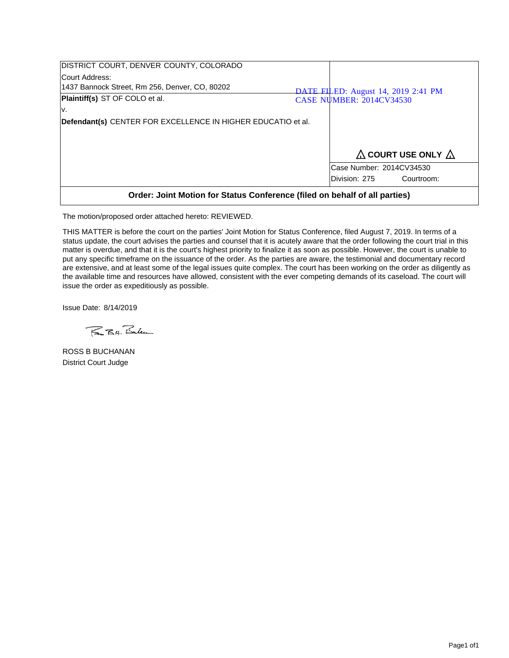| DISTRICT COURT, DENVER COUNTY, COLORADO                                    |  |                                     |  |
|----------------------------------------------------------------------------|--|-------------------------------------|--|
| Court Address:                                                             |  |                                     |  |
| 1437 Bannock Street, Rm 256, Denver, CO, 80202                             |  | DATE FILED: August 14, 2019 2:41 PM |  |
| Plaintiff(s) ST OF COLO et al.                                             |  | <b>CASE NUMBER: 2014CV34530</b>     |  |
| l۷.                                                                        |  |                                     |  |
| Defendant(s) CENTER FOR EXCELLENCE IN HIGHER EDUCATIO et al.               |  |                                     |  |
|                                                                            |  |                                     |  |
|                                                                            |  |                                     |  |
|                                                                            |  | $\Delta$ COURT USE ONLY $\Delta$    |  |
|                                                                            |  | Case Number: 2014CV34530            |  |
|                                                                            |  | Division: 275<br>Courtroom:         |  |
| Order: Joint Motion for Status Conference (filed on behalf of all parties) |  |                                     |  |

The motion/proposed order attached hereto: REVIEWED.

THIS MATTER is before the court on the parties' Joint Motion for Status Conference, filed August 7, 2019. In terms of a status update, the court advises the parties and counsel that it is acutely aware that the order following the court trial in this matter is overdue, and that it is the court's highest priority to finalize it as soon as possible. However, the court is unable to put any specific timeframe on the issuance of the order. As the parties are aware, the testimonial and documentary record are extensive, and at least some of the legal issues quite complex. The court has been working on the order as diligently as the available time and resources have allowed, consistent with the ever competing demands of its caseload. The court will issue the order as expeditiously as possible.

Issue Date: 8/14/2019

BBH. Bulen

ROSS B BUCHANAN District Court Judge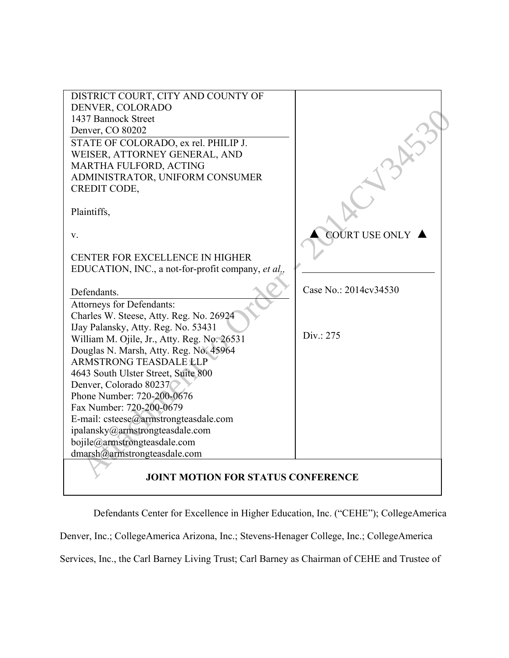| DISTRICT COURT, CITY AND COUNTY OF                 |                       |
|----------------------------------------------------|-----------------------|
| DENVER, COLORADO                                   |                       |
| 1437 Bannock Street                                |                       |
| Denver, CO 80202                                   |                       |
| STATE OF COLORADO, ex rel. PHILIP J.               |                       |
| WEISER, ATTORNEY GENERAL, AND                      |                       |
| MARTHA FULFORD, ACTING                             |                       |
| ADMINISTRATOR, UNIFORM CONSUMER                    |                       |
| <b>CREDIT CODE,</b>                                |                       |
|                                                    |                       |
| Plaintiffs,                                        |                       |
|                                                    |                       |
| V.                                                 | <b>COURT USE ONLY</b> |
|                                                    |                       |
| <b>CENTER FOR EXCELLENCE IN HIGHER</b>             |                       |
| EDUCATION, INC., a not-for-profit company, et al., |                       |
|                                                    | Case No.: 2014cv34530 |
| Defendants.                                        |                       |
| Attorneys for Defendants:                          |                       |
| Charles W. Steese, Atty. Reg. No. 26924            |                       |
| IJay Palansky, Atty. Reg. No. 53431                |                       |
|                                                    |                       |
| William M. Ojile, Jr., Atty. Reg. No. 26531        | Div: 275              |
| Douglas N. Marsh, Atty. Reg. No. 45964             |                       |
| <b>ARMSTRONG TEASDALE LLP</b>                      |                       |
| 4643 South Ulster Street, Suite 800                |                       |
| Denver, Colorado 80237                             |                       |
| Phone Number: 720-200-0676                         |                       |
| Fax Number: 720-200-0679                           |                       |
| E-mail: csteese@armstrongteasdale.com              |                       |
| ipalansky@armstrongteasdale.com                    |                       |
| bojile@armstrongteasdale.com                       |                       |
| dmarsh@armstrongteasdale.com                       |                       |
| <b>JOINT MOTION FOR STATUS CONFERENCE</b>          |                       |

Defendants Center for Excellence in Higher Education, Inc. ("CEHE"); CollegeAmerica

Denver, Inc.; CollegeAmerica Arizona, Inc.; Stevens-Henager College, Inc.; CollegeAmerica

Services, Inc., the Carl Barney Living Trust; Carl Barney as Chairman of CEHE and Trustee of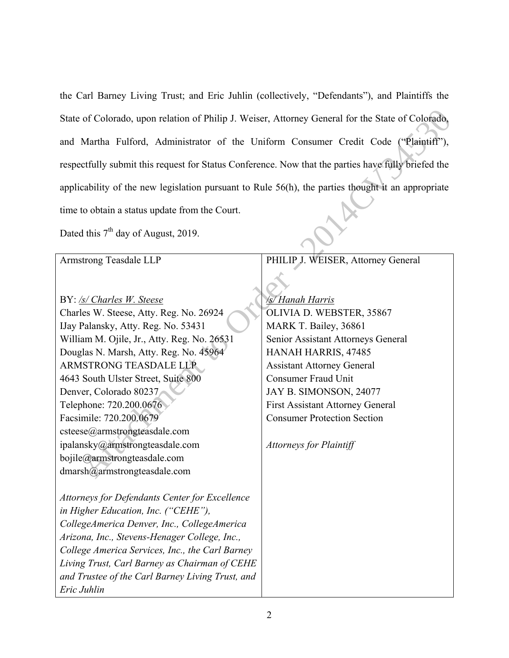the Carl Barney Living Trust; and Eric Juhlin (collectively, "Defendants"), and Plaintiffs the State of Colorado, upon relation of Philip J. Weiser, Attorney General for the State of Colorado, and Martha Fulford, Administrator of the Uniform Consumer Credit Code ("Plaintiff"), respectfully submit this request for Status Conference. Now that the parties have fully briefed the applicability of the new legislation pursuant to Rule 56(h), the parties thought it an appropriate time to obtain a status update from the Court.

| State of Colorado, upon relation of Philip J. Weiser, Attorney General for the State of Colorado,   |                                         |  |
|-----------------------------------------------------------------------------------------------------|-----------------------------------------|--|
| and Martha Fulford, Administrator of the Uniform Consumer Credit Code ("Plaintiff"),                |                                         |  |
| respectfully submit this request for Status Conference. Now that the parties have fully briefed the |                                         |  |
| applicability of the new legislation pursuant to Rule 56(h), the parties thought it an appropriate  |                                         |  |
| time to obtain a status update from the Court.                                                      |                                         |  |
| Dated this $7th$ day of August, 2019.                                                               |                                         |  |
| Armstrong Teasdale LLP                                                                              | PHILIP J. WEISER, Attorney General      |  |
|                                                                                                     |                                         |  |
| BY: /s/ Charles W. Steese                                                                           | /s/ Hanah Harris                        |  |
| Charles W. Steese, Atty. Reg. No. 26924                                                             | OLIVIA D. WEBSTER, 35867                |  |
| IJay Palansky, Atty. Reg. No. 53431                                                                 | MARK T. Bailey, 36861                   |  |
| William M. Ojile, Jr., Atty. Reg. No. 26531                                                         | Senior Assistant Attorneys General      |  |
| Douglas N. Marsh, Atty. Reg. No. 45964                                                              | HANAH HARRIS, 47485                     |  |
| ARMSTRONG TEASDALE LLP                                                                              | <b>Assistant Attorney General</b>       |  |
| 4643 South Ulster Street, Suite 800                                                                 | <b>Consumer Fraud Unit</b>              |  |
| Denver, Colorado 80237                                                                              | JAY B. SIMONSON, 24077                  |  |
| Telephone: 720.200.0676                                                                             | <b>First Assistant Attorney General</b> |  |
| Facsimile: 720.200.0679                                                                             | <b>Consumer Protection Section</b>      |  |
| csteese@armstrongteasdale.com                                                                       |                                         |  |
| ipalansky@armstrongteasdale.com                                                                     | <b>Attorneys for Plaintiff</b>          |  |
| bojile@armstrongteasdale.com                                                                        |                                         |  |
| dmarsh@armstrongteasdale.com                                                                        |                                         |  |
| <b>Attorneys for Defendants Center for Excellence</b>                                               |                                         |  |
| in Higher Education, Inc. ("CEHE"),                                                                 |                                         |  |
| CollegeAmerica Denver, Inc., CollegeAmerica                                                         |                                         |  |
| Arizona, Inc., Stevens-Henager College, Inc.,                                                       |                                         |  |
| College America Services, Inc., the Carl Barney                                                     |                                         |  |
| Living Trust, Carl Barney as Chairman of CEHE                                                       |                                         |  |
| and Trustee of the Carl Barney Living Trust, and                                                    |                                         |  |
| Eric Juhlin                                                                                         |                                         |  |